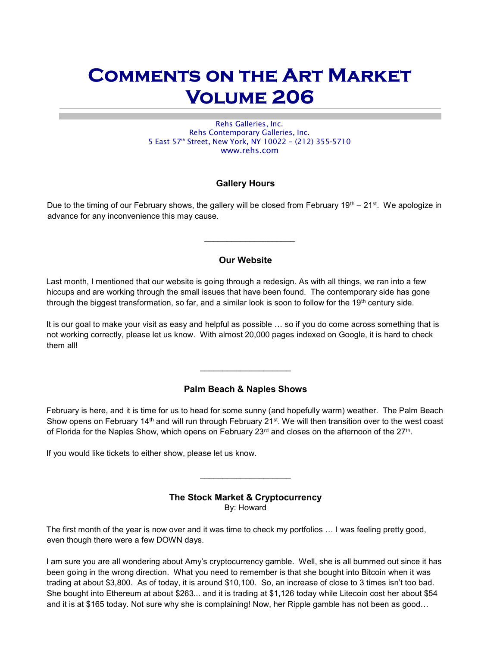# Comments on the Art Market Volume 206

Rehs Galleries, Inc. Rehs Contemporary Galleries, Inc. 5 East 57th Street, New York, NY 10022 – (212) 355-5710 www.rehs.com

# Gallery Hours

Due to the timing of our February shows, the gallery will be closed from February 19<sup>th</sup> – 21<sup>st</sup>. We apologize in advance for any inconvenience this may cause.

## Our Website

 $\mathcal{L}_\text{max}$  , we are the set of the set of the set of the set of the set of the set of the set of the set of the set of the set of the set of the set of the set of the set of the set of the set of the set of the set of

Last month, I mentioned that our website is going through a redesign. As with all things, we ran into a few hiccups and are working through the small issues that have been found. The contemporary side has gone through the biggest transformation, so far, and a similar look is soon to follow for the 19<sup>th</sup> century side.

It is our goal to make your visit as easy and helpful as possible … so if you do come across something that is not working correctly, please let us know. With almost 20,000 pages indexed on Google, it is hard to check them all!

## Palm Beach & Naples Shows

February is here, and it is time for us to head for some sunny (and hopefully warm) weather. The Palm Beach Show opens on February 14<sup>th</sup> and will run through February 21<sup>st</sup>. We will then transition over to the west coast of Florida for the Naples Show, which opens on February 23<sup>rd</sup> and closes on the afternoon of the 27<sup>th</sup>.

If you would like tickets to either show, please let us know.

# The Stock Market & Cryptocurrency

 $\overline{\phantom{a}}$  , which is a set of the set of the set of the set of the set of the set of the set of the set of the set of the set of the set of the set of the set of the set of the set of the set of the set of the set of th

By: Howard

The first month of the year is now over and it was time to check my portfolios … I was feeling pretty good, even though there were a few DOWN days.

I am sure you are all wondering about Amy's cryptocurrency gamble. Well, she is all bummed out since it has been going in the wrong direction. What you need to remember is that she bought into Bitcoin when it was trading at about \$3,800. As of today, it is around \$10,100. So, an increase of close to 3 times isn't too bad. She bought into Ethereum at about \$263... and it is trading at \$1,126 today while Litecoin cost her about \$54 and it is at \$165 today. Not sure why she is complaining! Now, her Ripple gamble has not been as good…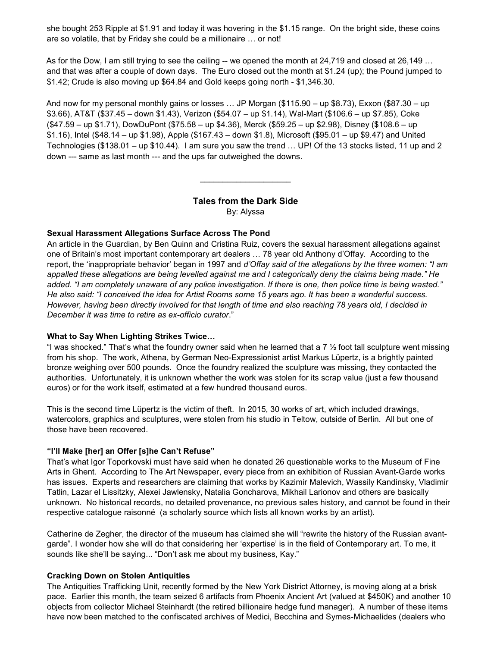she bought 253 Ripple at \$1.91 and today it was hovering in the \$1.15 range. On the bright side, these coins are so volatile, that by Friday she could be a millionaire … or not!

As for the Dow, I am still trying to see the ceiling -- we opened the month at 24,719 and closed at 26,149 ... and that was after a couple of down days. The Euro closed out the month at \$1.24 (up); the Pound jumped to \$1.42; Crude is also moving up \$64.84 and Gold keeps going north - \$1,346.30.

And now for my personal monthly gains or losses … JP Morgan (\$115.90 – up \$8.73), Exxon (\$87.30 – up \$3.66), AT&T (\$37.45 – down \$1.43), Verizon (\$54.07 – up \$1.14), Wal-Mart (\$106.6 – up \$7.85), Coke (\$47.59 – up \$1.71), DowDuPont (\$75.58 – up \$4.36), Merck (\$59.25 – up \$2.98), Disney (\$108.6 – up \$1.16), Intel (\$48.14 – up \$1.98), Apple (\$167.43 – down \$1.8), Microsoft (\$95.01 – up \$9.47) and United Technologies (\$138.01 – up \$10.44). I am sure you saw the trend … UP! Of the 13 stocks listed, 11 up and 2 down --- same as last month --- and the ups far outweighed the downs.

# Tales from the Dark Side

 $\mathcal{L}=\mathcal{L}=\mathcal{L}=\mathcal{L}=\mathcal{L}=\mathcal{L}=\mathcal{L}=\mathcal{L}=\mathcal{L}=\mathcal{L}=\mathcal{L}=\mathcal{L}=\mathcal{L}=\mathcal{L}=\mathcal{L}=\mathcal{L}=\mathcal{L}=\mathcal{L}=\mathcal{L}=\mathcal{L}=\mathcal{L}=\mathcal{L}=\mathcal{L}=\mathcal{L}=\mathcal{L}=\mathcal{L}=\mathcal{L}=\mathcal{L}=\mathcal{L}=\mathcal{L}=\mathcal{L}=\mathcal{L}=\mathcal{L}=\mathcal{L}=\mathcal{L}=\mathcal{L}=\mathcal{$ 

By: Alyssa

#### Sexual Harassment Allegations Surface Across The Pond

An article in the Guardian, by Ben Quinn and Cristina Ruiz, covers the sexual harassment allegations against one of Britain's most important contemporary art dealers … 78 year old Anthony d'Offay. According to the report, the 'inappropriate behavior' began in 1997 and d'Offay said of the allegations by the three women: "I am appalled these allegations are being levelled against me and I categorically deny the claims being made." He added. "I am completely unaware of any police investigation. If there is one, then police time is being wasted." He also said: "I conceived the idea for Artist Rooms some 15 years ago. It has been a wonderful success. However, having been directly involved for that length of time and also reaching 78 years old, I decided in December it was time to retire as ex-officio curator."

#### What to Say When Lighting Strikes Twice…

"I was shocked." That's what the foundry owner said when he learned that a 7  $\frac{1}{2}$  foot tall sculpture went missing from his shop. The work, Athena, by German Neo-Expressionist artist Markus Lüpertz, is a brightly painted bronze weighing over 500 pounds. Once the foundry realized the sculpture was missing, they contacted the authorities. Unfortunately, it is unknown whether the work was stolen for its scrap value (just a few thousand euros) or for the work itself, estimated at a few hundred thousand euros.

This is the second time Lüpertz is the victim of theft. In 2015, 30 works of art, which included drawings, watercolors, graphics and sculptures, were stolen from his studio in Teltow, outside of Berlin. All but one of those have been recovered.

#### "I'll Make [her] an Offer [s]he Can't Refuse"

That's what Igor Toporkovski must have said when he donated 26 questionable works to the Museum of Fine Arts in Ghent. According to The Art Newspaper, every piece from an exhibition of Russian Avant-Garde works has issues. Experts and researchers are claiming that works by Kazimir Malevich, Wassily Kandinsky, Vladimir Tatlin, Lazar el Lissitzky, Alexei Jawlensky, Natalia Goncharova, Mikhail Larionov and others are basically unknown. No historical records, no detailed provenance, no previous sales history, and cannot be found in their respective catalogue raisonné (a scholarly source which lists all known works by an artist).

Catherine de Zegher, the director of the museum has claimed she will "rewrite the history of the Russian avantgarde". I wonder how she will do that considering her 'expertise' is in the field of Contemporary art. To me, it sounds like she'll be saying... "Don't ask me about my business, Kay."

#### Cracking Down on Stolen Antiquities

The Antiquities Trafficking Unit, recently formed by the New York District Attorney, is moving along at a brisk pace. Earlier this month, the team seized 6 artifacts from Phoenix Ancient Art (valued at \$450K) and another 10 objects from collector Michael Steinhardt (the retired billionaire hedge fund manager). A number of these items have now been matched to the confiscated archives of Medici, Becchina and Symes-Michaelides (dealers who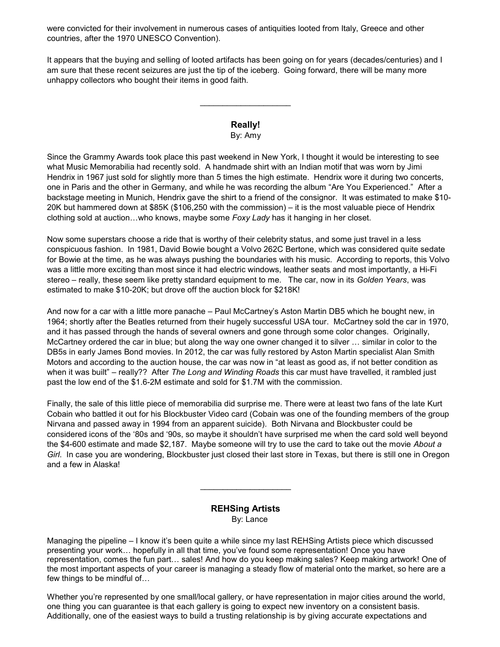were convicted for their involvement in numerous cases of antiquities looted from Italy, Greece and other countries, after the 1970 UNESCO Convention).

It appears that the buying and selling of looted artifacts has been going on for years (decades/centuries) and I am sure that these recent seizures are just the tip of the iceberg. Going forward, there will be many more unhappy collectors who bought their items in good faith.

#### Really! By: Amy

Since the Grammy Awards took place this past weekend in New York, I thought it would be interesting to see what Music Memorabilia had recently sold. A handmade shirt with an Indian motif that was worn by Jimi Hendrix in 1967 just sold for slightly more than 5 times the high estimate. Hendrix wore it during two concerts, one in Paris and the other in Germany, and while he was recording the album "Are You Experienced." After a backstage meeting in Munich, Hendrix gave the shirt to a friend of the consignor. It was estimated to make \$10- 20K but hammered down at \$85K (\$106,250 with the commission) – it is the most valuable piece of Hendrix clothing sold at auction…who knows, maybe some Foxy Lady has it hanging in her closet.

Now some superstars choose a ride that is worthy of their celebrity status, and some just travel in a less conspicuous fashion. In 1981, David Bowie bought a Volvo 262C Bertone, which was considered quite sedate for Bowie at the time, as he was always pushing the boundaries with his music. According to reports, this Volvo was a little more exciting than most since it had electric windows, leather seats and most importantly, a Hi-Fi stereo – really, these seem like pretty standard equipment to me. The car, now in its Golden Years, was estimated to make \$10-20K; but drove off the auction block for \$218K!

And now for a car with a little more panache – Paul McCartney's Aston Martin DB5 which he bought new, in 1964; shortly after the Beatles returned from their hugely successful USA tour. McCartney sold the car in 1970, and it has passed through the hands of several owners and gone through some color changes. Originally, McCartney ordered the car in blue; but along the way one owner changed it to silver … similar in color to the DB5s in early James Bond movies. In 2012, the car was fully restored by Aston Martin specialist Alan Smith Motors and according to the auction house, the car was now in "at least as good as, if not better condition as when it was built" – really?? After The Long and Winding Roads this car must have travelled, it rambled just past the low end of the \$1.6-2M estimate and sold for \$1.7M with the commission.

Finally, the sale of this little piece of memorabilia did surprise me. There were at least two fans of the late Kurt Cobain who battled it out for his Blockbuster Video card (Cobain was one of the founding members of the group Nirvana and passed away in 1994 from an apparent suicide). Both Nirvana and Blockbuster could be considered icons of the '80s and '90s, so maybe it shouldn't have surprised me when the card sold well beyond the \$4-600 estimate and made \$2,187. Maybe someone will try to use the card to take out the movie About a Girl. In case you are wondering, Blockbuster just closed their last store in Texas, but there is still one in Oregon and a few in Alaska!

#### REHSing Artists By: Lance

 $\overline{\phantom{a}}$  . The set of the set of the set of the set of the set of the set of the set of the set of the set of the set of the set of the set of the set of the set of the set of the set of the set of the set of the set o

Managing the pipeline – I know it's been quite a while since my last REHSing Artists piece which discussed presenting your work… hopefully in all that time, you've found some representation! Once you have representation, comes the fun part… sales! And how do you keep making sales? Keep making artwork! One of the most important aspects of your career is managing a steady flow of material onto the market, so here are a few things to be mindful of…

Whether you're represented by one small/local gallery, or have representation in major cities around the world, one thing you can guarantee is that each gallery is going to expect new inventory on a consistent basis. Additionally, one of the easiest ways to build a trusting relationship is by giving accurate expectations and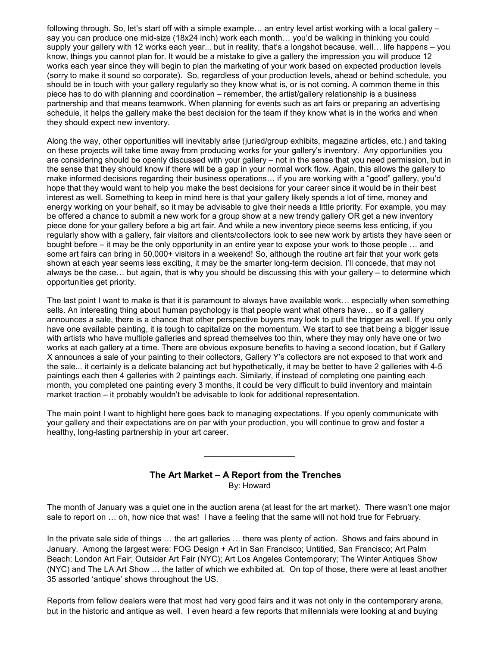following through. So, let's start off with a simple example… an entry level artist working with a local gallery – say you can produce one mid-size (18x24 inch) work each month… you'd be walking in thinking you could supply your gallery with 12 works each year... but in reality, that's a longshot because, well… life happens – you know, things you cannot plan for. It would be a mistake to give a gallery the impression you will produce 12 works each year since they will begin to plan the marketing of your work based on expected production levels (sorry to make it sound so corporate). So, regardless of your production levels, ahead or behind schedule, you should be in touch with your gallery regularly so they know what is, or is not coming. A common theme in this piece has to do with planning and coordination – remember, the artist/gallery relationship is a business partnership and that means teamwork. When planning for events such as art fairs or preparing an advertising schedule, it helps the gallery make the best decision for the team if they know what is in the works and when they should expect new inventory.

Along the way, other opportunities will inevitably arise (juried/group exhibits, magazine articles, etc.) and taking on these projects will take time away from producing works for your gallery's inventory. Any opportunities you are considering should be openly discussed with your gallery – not in the sense that you need permission, but in the sense that they should know if there will be a gap in your normal work flow. Again, this allows the gallery to make informed decisions regarding their business operations… if you are working with a "good" gallery, you'd hope that they would want to help you make the best decisions for your career since it would be in their best interest as well. Something to keep in mind here is that your gallery likely spends a lot of time, money and energy working on your behalf, so it may be advisable to give their needs a little priority. For example, you may be offered a chance to submit a new work for a group show at a new trendy gallery OR get a new inventory piece done for your gallery before a big art fair. And while a new inventory piece seems less enticing, if you regularly show with a gallery, fair visitors and clients/collectors look to see new work by artists they have seen or bought before – it may be the only opportunity in an entire year to expose your work to those people … and some art fairs can bring in 50,000+ visitors in a weekend! So, although the routine art fair that your work gets shown at each year seems less exciting, it may be the smarter long-term decision. I'll concede, that may not always be the case… but again, that is why you should be discussing this with your gallery – to determine which opportunities get priority.

The last point I want to make is that it is paramount to always have available work… especially when something sells. An interesting thing about human psychology is that people want what others have… so if a gallery announces a sale, there is a chance that other perspective buyers may look to pull the trigger as well. If you only have one available painting, it is tough to capitalize on the momentum. We start to see that being a bigger issue with artists who have multiple galleries and spread themselves too thin, where they may only have one or two works at each gallery at a time. There are obvious exposure benefits to having a second location, but if Gallery X announces a sale of your painting to their collectors, Gallery Y's collectors are not exposed to that work and the sale... it certainly is a delicate balancing act but hypothetically, it may be better to have 2 galleries with 4-5 paintings each then 4 galleries with 2 paintings each. Similarly, if instead of completing one painting each month, you completed one painting every 3 months, it could be very difficult to build inventory and maintain market traction – it probably wouldn't be advisable to look for additional representation.

The main point I want to highlight here goes back to managing expectations. If you openly communicate with your gallery and their expectations are on par with your production, you will continue to grow and foster a healthy, long-lasting partnership in your art career.

#### The Art Market – A Report from the Trenches By: Howard

 $\_$ 

The month of January was a quiet one in the auction arena (at least for the art market). There wasn't one major sale to report on … oh, how nice that was! I have a feeling that the same will not hold true for February.

In the private sale side of things … the art galleries … there was plenty of action. Shows and fairs abound in January. Among the largest were: FOG Design + Art in San Francisco; Untitied, San Francisco; Art Palm Beach; London Art Fair; Outsider Art Fair (NYC); Art Los Angeles Contemporary; The Winter Antiques Show (NYC) and The LA Art Show … the latter of which we exhibited at. On top of those, there were at least another 35 assorted 'antique' shows throughout the US.

Reports from fellow dealers were that most had very good fairs and it was not only in the contemporary arena, but in the historic and antique as well. I even heard a few reports that millennials were looking at and buying